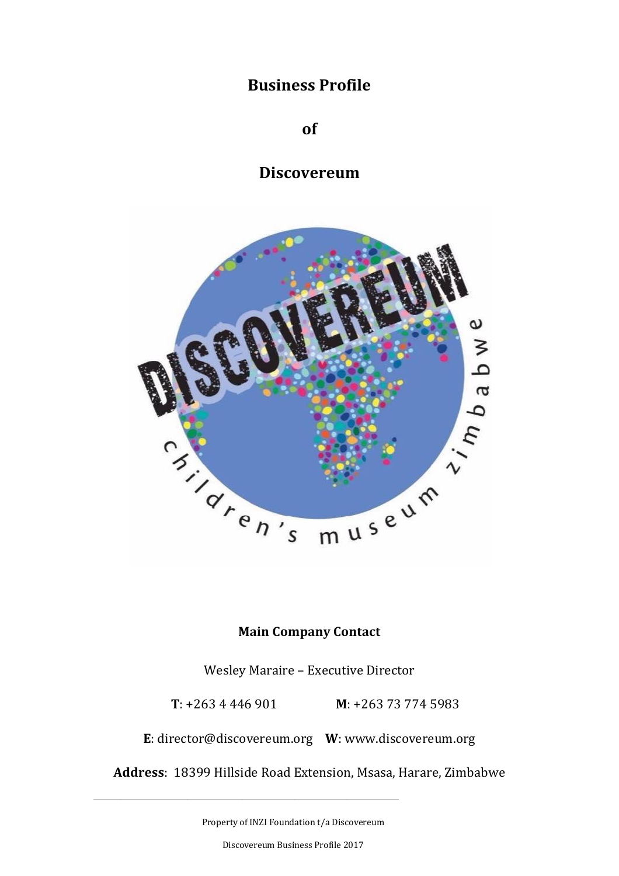# **Business Profile**

**of**

**Discovereum**



# **Main Company Contact**

Wesley Maraire – Executive Director

 **T**: +263 4 446 901 **M**: +263 73 774 5983

**E**: [director@discovereum.org](mailto:director@discovereum.org) **W**: [www.discovereum.org](http://www.discovereum.org/)

**Address**: 18399 Hillside Road Extension, Msasa, Harare, Zimbabwe

Property of INZI Foundation t/a Discovereum

\_\_\_\_\_\_\_\_\_\_\_\_\_\_\_\_\_\_\_\_\_\_\_\_\_\_\_\_\_\_\_\_\_\_\_\_\_\_\_\_\_\_\_\_\_\_\_\_\_\_\_\_\_\_\_\_\_\_\_\_\_\_\_\_\_\_\_\_\_\_\_\_\_\_\_\_\_\_\_\_\_\_\_\_\_\_\_\_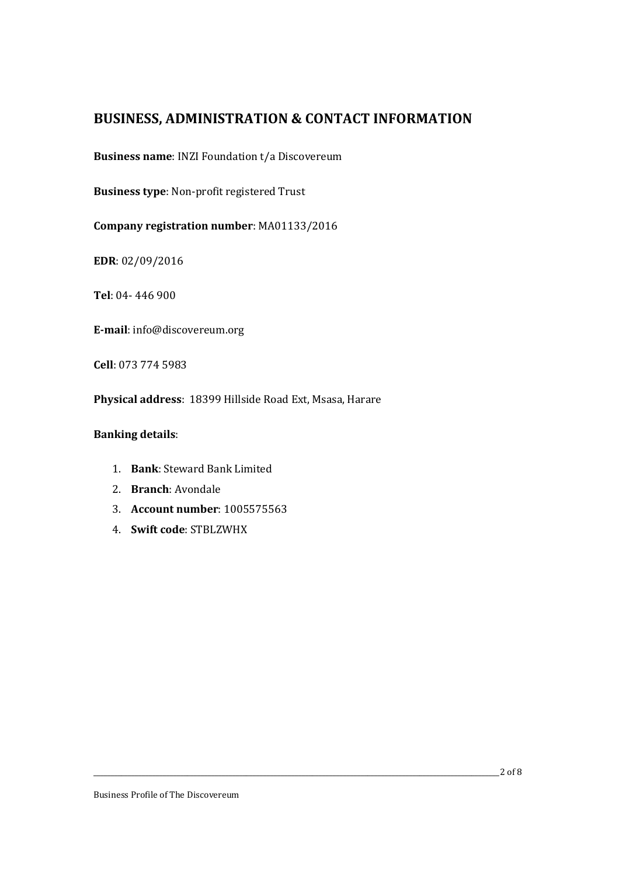# **BUSINESS, ADMINISTRATION & CONTACT INFORMATION**

**Business name**: INZI Foundation t/a Discovereum

**Business type**: Non-profit registered Trust

**Company registration number**: MA01133/2016

**EDR**: 02/09/2016

**Tel**: 04- 446 900

**E-mail**: [info@discovereum.org](mailto:info@discovereum.org)

**Cell**: 073 774 5983

**Physical address**: 18399 Hillside Road Ext, Msasa, Harare

#### **Banking details**:

- 1. **Bank**: Steward Bank Limited
- 2. **Branch**: Avondale
- 3. **Account number**: 1005575563
- 4. **Swift code**: STBLZWHX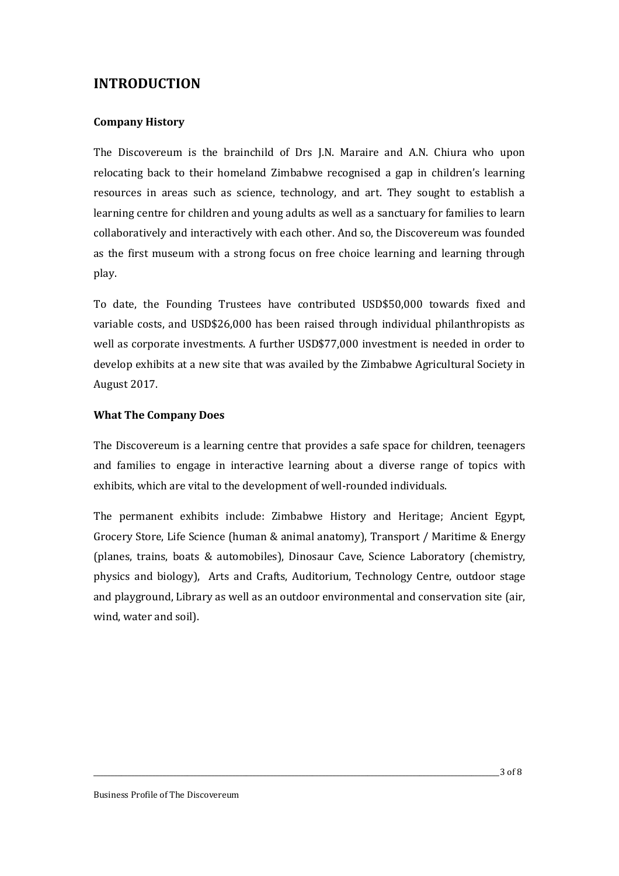# **INTRODUCTION**

#### **Company History**

The Discovereum is the brainchild of Drs J.N. Maraire and A.N. Chiura who upon relocating back to their homeland Zimbabwe recognised a gap in children's learning resources in areas such as science, technology, and art. They sought to establish a learning centre for children and young adults as well as a sanctuary for families to learn collaboratively and interactively with each other. And so, the Discovereum was founded as the first museum with a strong focus on free choice learning and learning through play.

To date, the Founding Trustees have contributed USD\$50,000 towards fixed and variable costs, and USD\$26,000 has been raised through individual philanthropists as well as corporate investments. A further USD\$77,000 investment is needed in order to develop exhibits at a new site that was availed by the Zimbabwe Agricultural Society in August 2017.

#### **What The Company Does**

The Discovereum is a learning centre that provides a safe space for children, teenagers and families to engage in interactive learning about a diverse range of topics with exhibits, which are vital to the development of well-rounded individuals.

The permanent exhibits include: Zimbabwe History and Heritage; Ancient Egypt, Grocery Store, Life Science (human & animal anatomy), Transport / Maritime & Energy (planes, trains, boats & automobiles), Dinosaur Cave, Science Laboratory (chemistry, physics and biology), Arts and Crafts, Auditorium, Technology Centre, outdoor stage and playground, Library as well as an outdoor environmental and conservation site (air, wind, water and soil).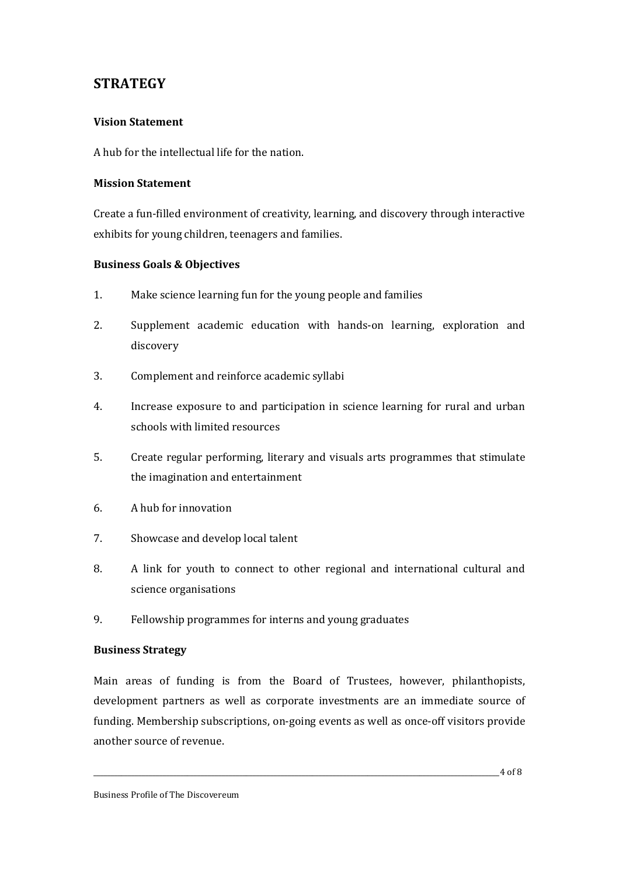# **STRATEGY**

## **Vision Statement**

A hub for the intellectual life for the nation.

#### **Mission Statement**

Create a fun-filled environment of creativity, learning, and discovery through interactive exhibits for young children, teenagers and families.

## **Business Goals & Objectives**

- 1. Make science learning fun for the young people and families
- 2. Supplement academic education with hands-on learning, exploration and discovery
- 3. Complement and reinforce academic syllabi
- 4. Increase exposure to and participation in science learning for rural and urban schools with limited resources
- 5. Create regular performing, literary and visuals arts programmes that stimulate the imagination and entertainment
- 6. A hub for innovation
- 7. Showcase and develop local talent
- 8. A link for youth to connect to other regional and international cultural and science organisations
- 9. Fellowship programmes for interns and young graduates

#### **Business Strategy**

Main areas of funding is from the Board of Trustees, however, philanthopists, development partners as well as corporate investments are an immediate source of funding. Membership subscriptions, on-going events as well as once-off visitors provide another source of revenue.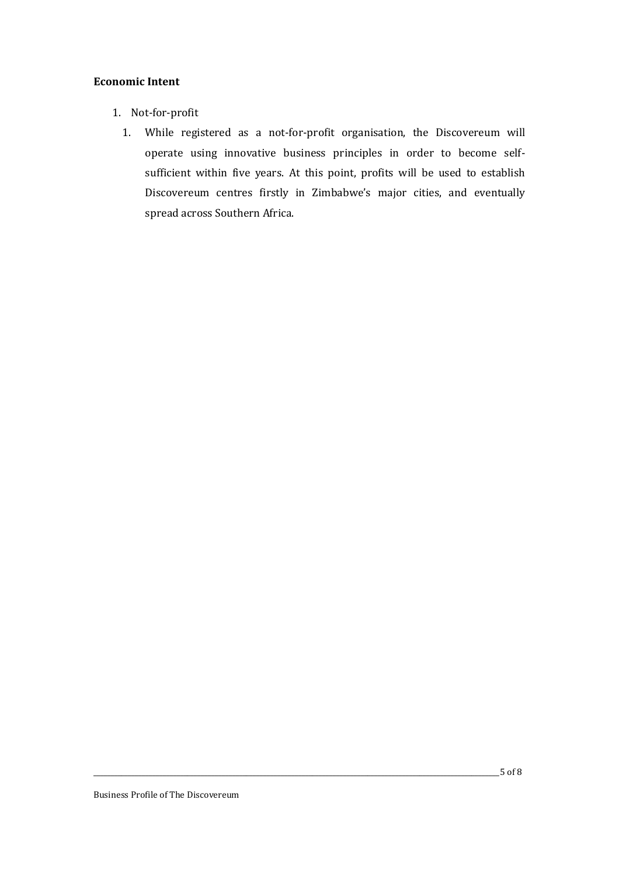#### **Economic Intent**

- 1. Not-for-profit
	- 1. While registered as a not-for-profit organisation, the Discovereum will operate using innovative business principles in order to become selfsufficient within five years. At this point, profits will be used to establish Discovereum centres firstly in Zimbabwe's major cities, and eventually spread across Southern Africa.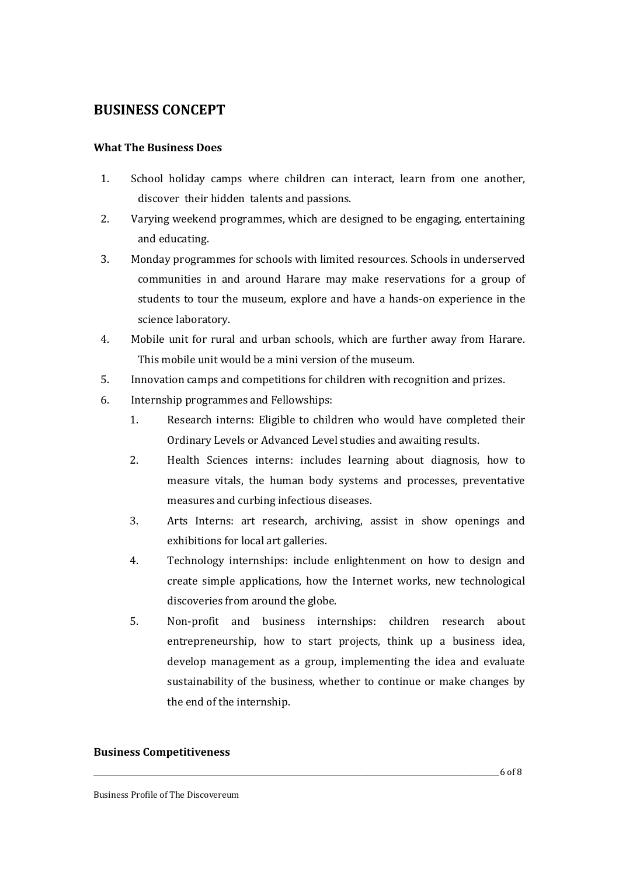# **BUSINESS CONCEPT**

#### **What The Business Does**

- 1. School holiday camps where children can interact, learn from one another, discover their hidden talents and passions.
- 2. Varying weekend programmes, which are designed to be engaging, entertaining and educating.
- 3. Monday programmes for schools with limited resources. Schools in underserved communities in and around Harare may make reservations for a group of students to tour the museum, explore and have a hands-on experience in the science laboratory.
- 4. Mobile unit for rural and urban schools, which are further away from Harare. This mobile unit would be a mini version of the museum.
- 5. Innovation camps and competitions for children with recognition and prizes.
- 6. Internship programmes and Fellowships:
	- 1. Research interns: Eligible to children who would have completed their Ordinary Levels or Advanced Level studies and awaiting results.
	- 2. Health Sciences interns: includes learning about diagnosis, how to measure vitals, the human body systems and processes, preventative measures and curbing infectious diseases.
	- 3. Arts Interns: art research, archiving, assist in show openings and exhibitions for local art galleries.
	- 4. Technology internships: include enlightenment on how to design and create simple applications, how the Internet works, new technological discoveries from around the globe.
	- 5. Non-profit and business internships: children research about entrepreneurship, how to start projects, think up a business idea, develop management as a group, implementing the idea and evaluate sustainability of the business, whether to continue or make changes by the end of the internship.

#### **Business Competitiveness**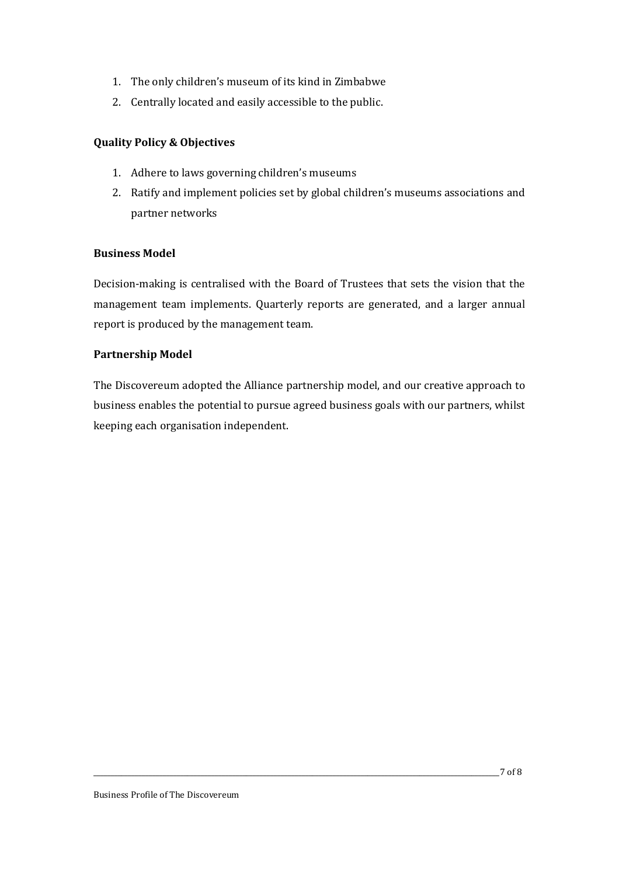- 1. The only children's museum of its kind in Zimbabwe
- 2. Centrally located and easily accessible to the public.

## **Quality Policy & Objectives**

- 1. Adhere to laws governing children's museums
- 2. Ratify and implement policies set by global children's museums associations and partner networks

#### **Business Model**

Decision-making is centralised with the Board of Trustees that sets the vision that the management team implements. Quarterly reports are generated, and a larger annual report is produced by the management team.

#### **Partnership Model**

The Discovereum adopted the Alliance partnership model, and our creative approach to business enables the potential to pursue agreed business goals with our partners, whilst keeping each organisation independent.